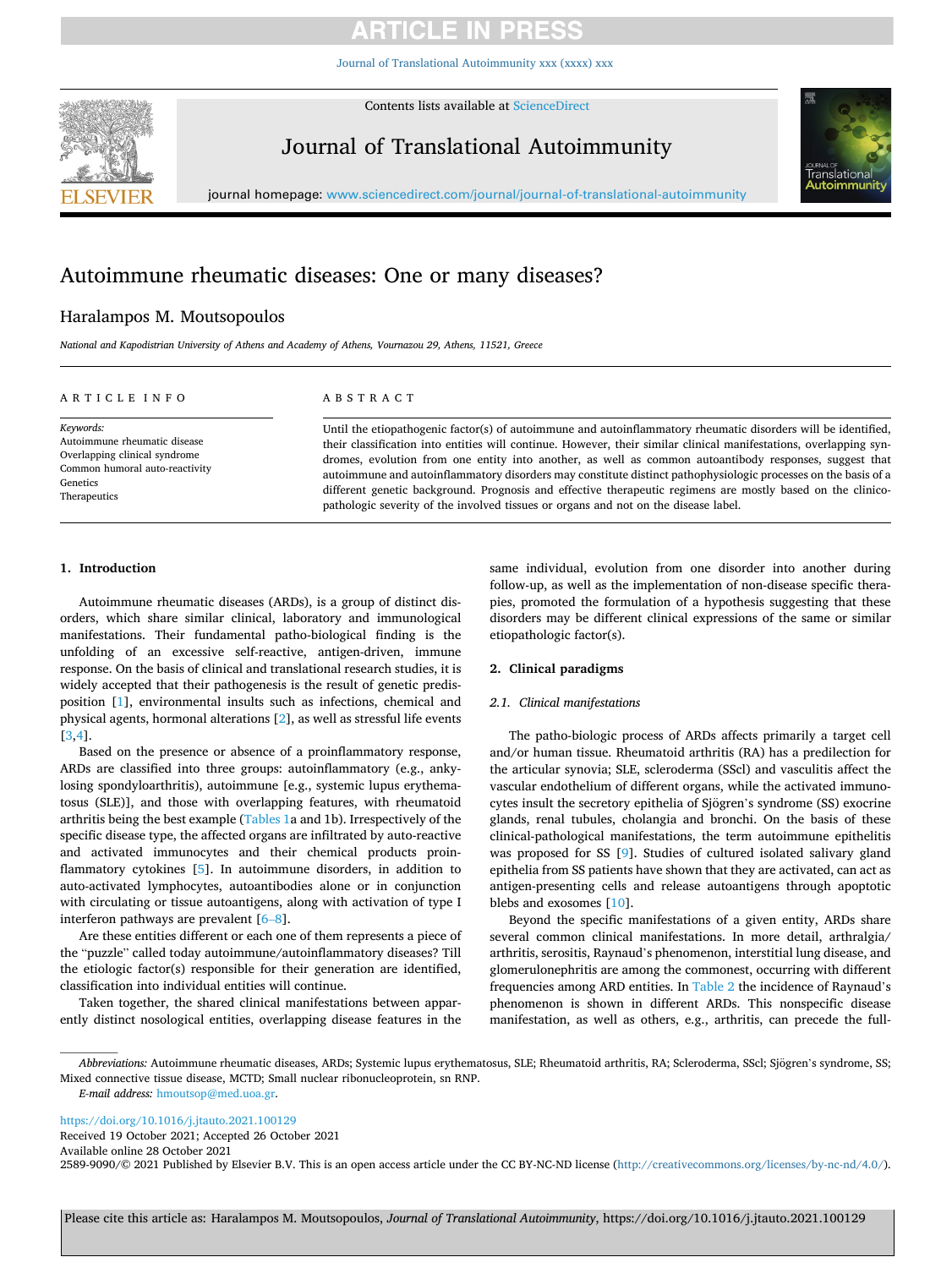# **ARTICLE IN PRES**

[Journal of Translational Autoimmunity xxx \(xxxx\) xxx](https://doi.org/10.1016/j.jtauto.2021.100129)



Contents lists available at [ScienceDirect](www.sciencedirect.com/science/journal/25899090)

Journal of Translational Autoimmunity



journal homepage: [www.sciencedirect.com/journal/journal-of-translational-autoimmunity](https://www.sciencedirect.com/journal/journal-of-translational-autoimmunity)

### Autoimmune rheumatic diseases: One or many diseases?

### Haralampos M. Moutsopoulos

*National and Kapodistrian University of Athens and Academy of Athens, Vournazou 29, Athens, 11521, Greece* 

#### ARTICLE INFO

*Keywords:*  Autoimmune rheumatic disease Overlapping clinical syndrome Common humoral auto-reactivity Genetics **Therapeutics** 

#### ABSTRACT

Until the etiopathogenic factor(s) of autoimmune and autoinflammatory rheumatic disorders will be identified, their classification into entities will continue. However, their similar clinical manifestations, overlapping syndromes, evolution from one entity into another, as well as common autoantibody responses, suggest that autoimmune and autoinflammatory disorders may constitute distinct pathophysiologic processes on the basis of a different genetic background. Prognosis and effective therapeutic regimens are mostly based on the clinicopathologic severity of the involved tissues or organs and not on the disease label.

### **1. Introduction**

Autoimmune rheumatic diseases (ARDs), is a group of distinct disorders, which share similar clinical, laboratory and immunological manifestations. Their fundamental patho-biological finding is the unfolding of an excessive self-reactive, antigen-driven, immune response. On the basis of clinical and translational research studies, it is widely accepted that their pathogenesis is the result of genetic predisposition [\[1\]](#page-3-0), environmental insults such as infections, chemical and physical agents, hormonal alterations [\[2\]](#page-3-0), as well as stressful life events [[3](#page-3-0),[4](#page-3-0)].

Based on the presence or absence of a proinflammatory response, ARDs are classified into three groups: autoinflammatory (e.g., ankylosing spondyloarthritis), autoimmune [e.g., systemic lupus erythematosus (SLE)], and those with overlapping features, with rheumatoid arthritis being the best example (Tables 1a and 1b). Irrespectively of the specific disease type, the affected organs are infiltrated by auto-reactive and activated immunocytes and their chemical products proinflammatory cytokines [[5](#page-3-0)]. In autoimmune disorders, in addition to auto-activated lymphocytes, autoantibodies alone or in conjunction with circulating or tissue autoantigens, along with activation of type I interferon pathways are prevalent [[6](#page-3-0)–8].

Are these entities different or each one of them represents a piece of the "puzzle" called today autoimmune/autoinflammatory diseases? Till the etiologic factor(s) responsible for their generation are identified, classification into individual entities will continue.

Taken together, the shared clinical manifestations between apparently distinct nosological entities, overlapping disease features in the same individual, evolution from one disorder into another during follow-up, as well as the implementation of non-disease specific therapies, promoted the formulation of a hypothesis suggesting that these disorders may be different clinical expressions of the same or similar etiopathologic factor(s).

#### **2. Clinical paradigms**

#### *2.1. Clinical manifestations*

The patho-biologic process of ARDs affects primarily a target cell and/or human tissue. Rheumatoid arthritis (RA) has a predilection for the articular synovia; SLE, scleroderma (SScl) and vasculitis affect the vascular endothelium of different organs, while the activated immunocytes insult the secretory epithelia of Sjögren's syndrome (SS) exocrine glands, renal tubules, cholangia and bronchi. On the basis of these clinical-pathological manifestations, the term autoimmune epithelitis was proposed for SS [[9](#page-3-0)]. Studies of cultured isolated salivary gland epithelia from SS patients have shown that they are activated, can act as antigen-presenting cells and release autoantigens through apoptotic blebs and exosomes [\[10](#page-3-0)].

Beyond the specific manifestations of a given entity, ARDs share several common clinical manifestations. In more detail, arthralgia/ arthritis, serositis, Raynaud's phenomenon, interstitial lung disease, and glomerulonephritis are among the commonest, occurring with different frequencies among ARD entities. In [Table 2](#page-1-0) the incidence of Raynaud's phenomenon is shown in different ARDs. This nonspecific disease manifestation, as well as others, e.g., arthritis, can precede the full-

<https://doi.org/10.1016/j.jtauto.2021.100129> Received 19 October 2021; Accepted 26 October 2021

Available online 28 October 2021

2589-9090/© 2021 Published by Elsevier B.V. This is an open access article under the CC BY-NC-ND license [\(http://creativecommons.org/licenses/by-nc-nd/4.0/\)](http://creativecommons.org/licenses/by-nc-nd/4.0/).

Please cite this article as: Haralampos M. Moutsopoulos, *Journal of Translational Autoimmunity*, https://doi.org/10.1016/j.jtauto.2021.100129

*Abbreviations:* Autoimmune rheumatic diseases, ARDs; Systemic lupus erythematosus, SLE; Rheumatoid arthritis, RA; Scleroderma, SScl; Sjogren ¨ 's syndrome, SS; Mixed connective tissue disease, MCTD; Small nuclear ribonucleoprotein, sn RNP.

*E-mail address:* [hmoutsop@med.uoa.gr](mailto:hmoutsop@med.uoa.gr).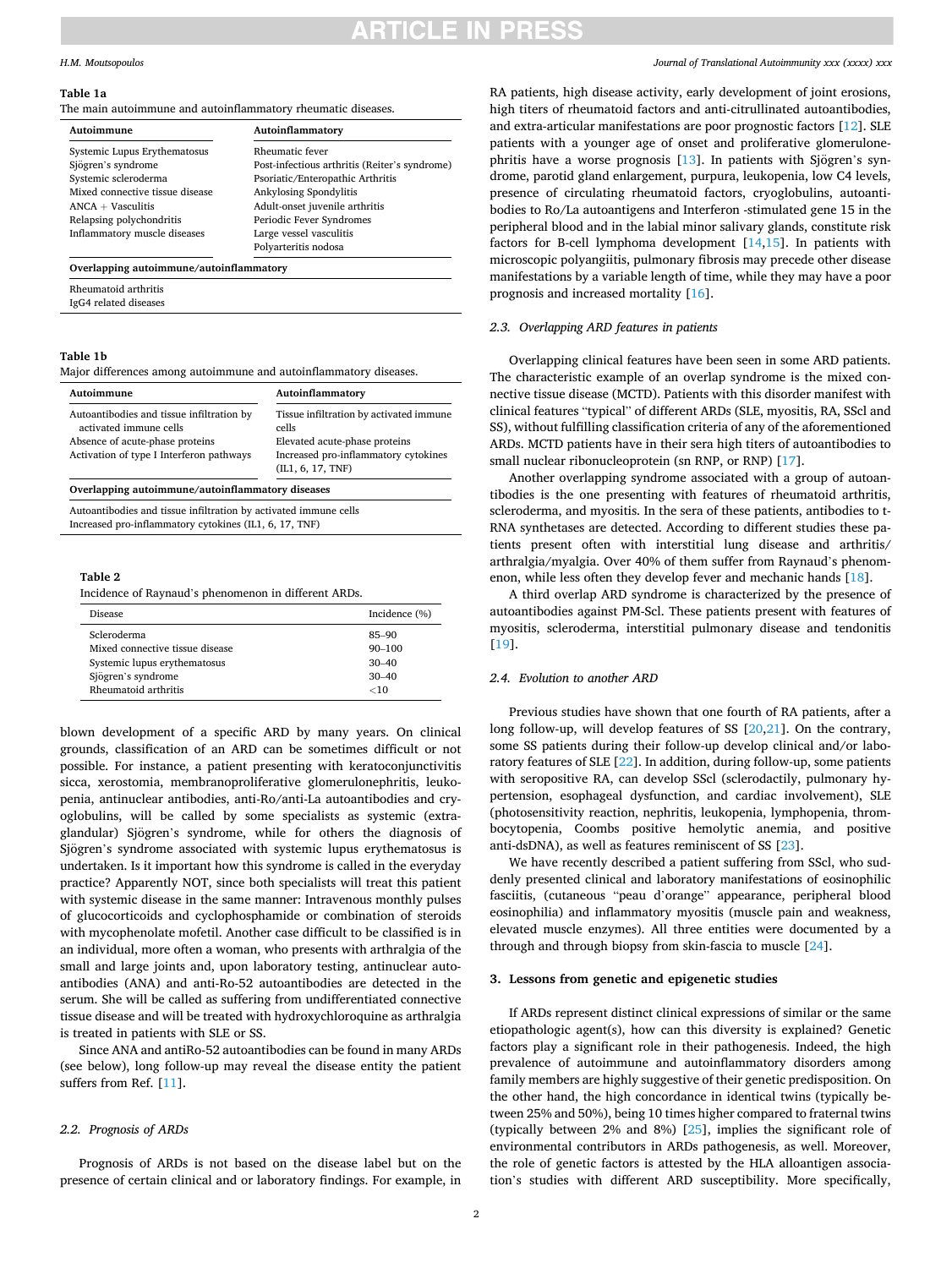### ITICLE IN PRES

#### <span id="page-1-0"></span>*H.M. Moutsopoulos*

#### **Table 1a**

The main autoimmune and autoinflammatory rheumatic diseases.

| Autoimmune                      | Autoinflammatory                              |  |  |
|---------------------------------|-----------------------------------------------|--|--|
| Systemic Lupus Erythematosus    | <b>Rheumatic fever</b>                        |  |  |
| Sjögren's syndrome              | Post-infectious arthritis (Reiter's syndrome) |  |  |
| Systemic scleroderma            | Psoriatic/Enteropathic Arthritis              |  |  |
| Mixed connective tissue disease | Ankylosing Spondylitis                        |  |  |
| $ANCA + Vasculitis$             | Adult-onset juvenile arthritis                |  |  |
| Relapsing polychondritis        | Periodic Fever Syndromes                      |  |  |
| Inflammatory muscle diseases    | Large vessel vasculitis                       |  |  |
|                                 | Polyarteritis nodosa                          |  |  |

Rheumatoid arthritis IgG4 related diseases

#### **Table 1b**

Major differences among autoimmune and autoinflammatory diseases.

| Autoimmune                                                                                                                                         | Autoinflammatory                                                                                                                               |
|----------------------------------------------------------------------------------------------------------------------------------------------------|------------------------------------------------------------------------------------------------------------------------------------------------|
| Autoantibodies and tissue infiltration by<br>activated immune cells<br>Absence of acute-phase proteins<br>Activation of type I Interferon pathways | Tissue infiltration by activated immune<br>cells<br>Elevated acute-phase proteins<br>Increased pro-inflammatory cytokines<br>(IL1, 6, 17, TNF) |
| Overlapping autoimmune/autoinflammatory diseases                                                                                                   |                                                                                                                                                |

Autoantibodies and tissue infiltration by activated immune cells Increased pro-inflammatory cytokines (IL1, 6, 17, TNF)

#### **Table 2**

Incidence of Raynaud's phenomenon in different ARDs.

| <b>Disease</b>                  | Incidence $(\%)$ |
|---------------------------------|------------------|
| Scleroderma                     | $85 - 90$        |
| Mixed connective tissue disease | $90 - 100$       |
| Systemic lupus erythematosus    | $30 - 40$        |
| Sjögren's syndrome              | $30 - 40$        |
| Rheumatoid arthritis            | $<$ 10           |

blown development of a specific ARD by many years. On clinical grounds, classification of an ARD can be sometimes difficult or not possible. For instance, a patient presenting with keratoconjunctivitis sicca, xerostomia, membranoproliferative glomerulonephritis, leukopenia, antinuclear antibodies, anti-Ro/anti-La autoantibodies and cryoglobulins, will be called by some specialists as systemic (extraglandular) Sjögren's syndrome, while for others the diagnosis of Sjögren's syndrome associated with systemic lupus erythematosus is undertaken. Is it important how this syndrome is called in the everyday practice? Apparently NOT, since both specialists will treat this patient with systemic disease in the same manner: Intravenous monthly pulses of glucocorticoids and cyclophosphamide or combination of steroids with mycophenolate mofetil. Another case difficult to be classified is in an individual, more often a woman, who presents with arthralgia of the small and large joints and, upon laboratory testing, antinuclear autoantibodies (ANA) and anti-Ro-52 autoantibodies are detected in the serum. She will be called as suffering from undifferentiated connective tissue disease and will be treated with hydroxychloroquine as arthralgia is treated in patients with SLE or SS.

Since ANA and antiRo-52 autoantibodies can be found in many ARDs (see below), long follow-up may reveal the disease entity the patient suffers from Ref. [\[11\]](#page-3-0).

#### *2.2. Prognosis of ARDs*

Prognosis of ARDs is not based on the disease label but on the presence of certain clinical and or laboratory findings. For example, in *Journal of Translational Autoimmunity xxx (xxxx) xxx*

RA patients, high disease activity, early development of joint erosions, high titers of rheumatoid factors and anti-citrullinated autoantibodies, and extra-articular manifestations are poor prognostic factors [[12\]](#page-3-0). SLE patients with a younger age of onset and proliferative glomerulonephritis have a worse prognosis  $[13]$  $[13]$ . In patients with Sjögren's syndrome, parotid gland enlargement, purpura, leukopenia, low C4 levels, presence of circulating rheumatoid factors, cryoglobulins, autoantibodies to Ro/La autoantigens and Interferon -stimulated gene 15 in the peripheral blood and in the labial minor salivary glands, constitute risk factors for B-cell lymphoma development  $[14,15]$  $[14,15]$ . In patients with microscopic polyangiitis, pulmonary fibrosis may precede other disease manifestations by a variable length of time, while they may have a poor prognosis and increased mortality [\[16](#page-3-0)].

#### *2.3. Overlapping ARD features in patients*

Overlapping clinical features have been seen in some ARD patients. The characteristic example of an overlap syndrome is the mixed connective tissue disease (MCTD). Patients with this disorder manifest with clinical features "typical" of different ARDs (SLE, myositis, RA, SScl and SS), without fulfilling classification criteria of any of the aforementioned ARDs. MCTD patients have in their sera high titers of autoantibodies to small nuclear ribonucleoprotein (sn RNP, or RNP) [\[17](#page-3-0)].

Another overlapping syndrome associated with a group of autoantibodies is the one presenting with features of rheumatoid arthritis, scleroderma, and myositis. In the sera of these patients, antibodies to t-RNA synthetases are detected. According to different studies these patients present often with interstitial lung disease and arthritis/ arthralgia/myalgia. Over 40% of them suffer from Raynaud's phenomenon, while less often they develop fever and mechanic hands [[18\]](#page-3-0).

A third overlap ARD syndrome is characterized by the presence of autoantibodies against PM-Scl. These patients present with features of myositis, scleroderma, interstitial pulmonary disease and tendonitis [[19\]](#page-3-0).

#### *2.4. Evolution to another ARD*

Previous studies have shown that one fourth of RA patients, after a long follow-up, will develop features of SS [[20,21\]](#page-3-0). On the contrary, some SS patients during their follow-up develop clinical and/or laboratory features of SLE [\[22](#page-3-0)]. In addition, during follow-up, some patients with seropositive RA, can develop SScl (sclerodactily, pulmonary hypertension, esophageal dysfunction, and cardiac involvement), SLE (photosensitivity reaction, nephritis, leukopenia, lymphopenia, thrombocytopenia, Coombs positive hemolytic anemia, and positive anti-dsDNA), as well as features reminiscent of SS [[23\]](#page-3-0).

We have recently described a patient suffering from SScl, who suddenly presented clinical and laboratory manifestations of eosinophilic fasciitis, (cutaneous "peau d'orange" appearance, peripheral blood eosinophilia) and inflammatory myositis (muscle pain and weakness, elevated muscle enzymes). All three entities were documented by a through and through biopsy from skin-fascia to muscle [[24\]](#page-3-0).

#### **3. Lessons from genetic and epigenetic studies**

If ARDs represent distinct clinical expressions of similar or the same etiopathologic agent(s), how can this diversity is explained? Genetic factors play a significant role in their pathogenesis. Indeed, the high prevalence of autoimmune and autoinflammatory disorders among family members are highly suggestive of their genetic predisposition. On the other hand, the high concordance in identical twins (typically between 25% and 50%), being 10 times higher compared to fraternal twins (typically between 2% and 8%) [\[25](#page-3-0)], implies the significant role of environmental contributors in ARDs pathogenesis, as well. Moreover, the role of genetic factors is attested by the HLA alloantigen association's studies with different ARD susceptibility. More specifically,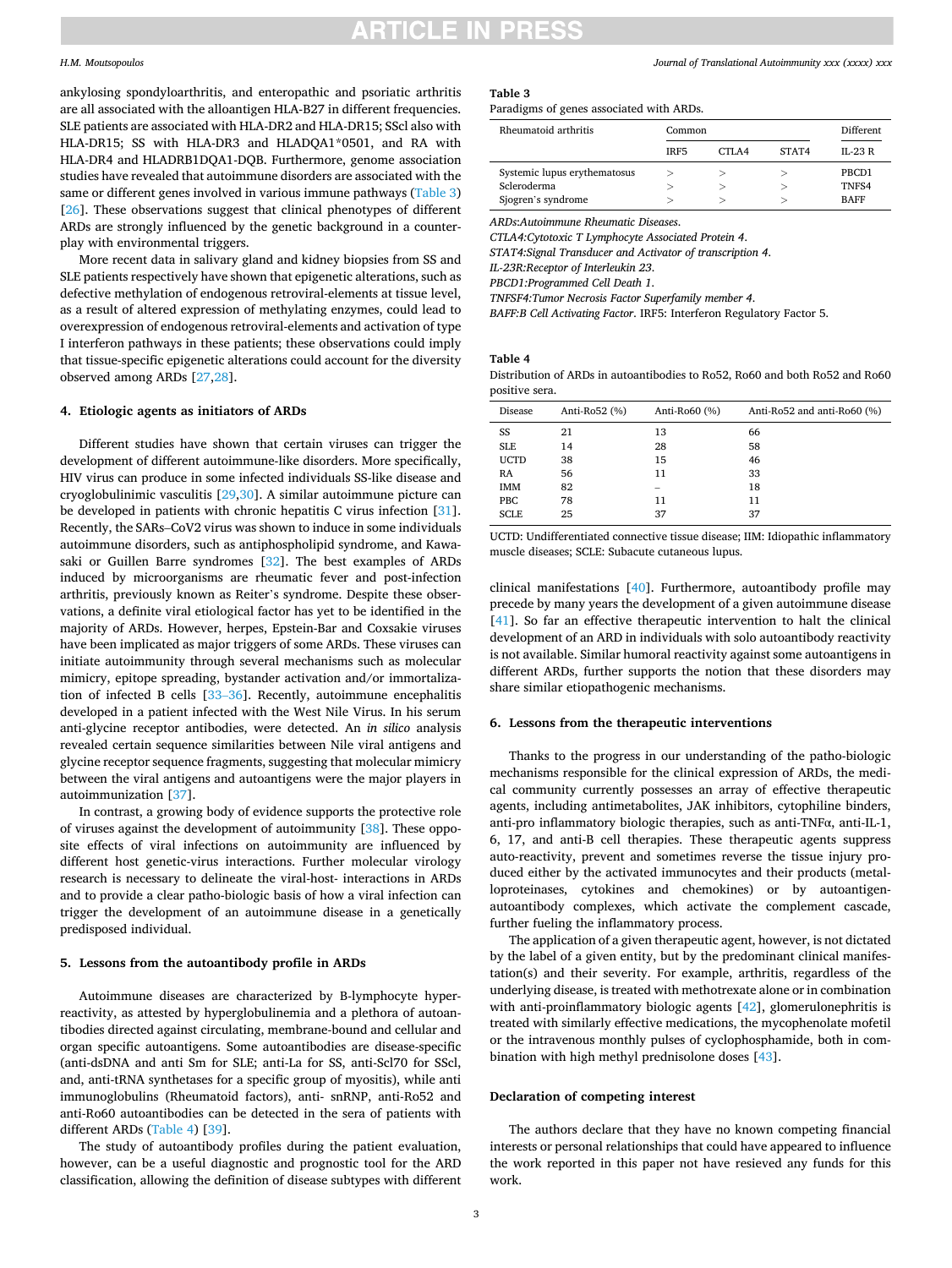### ARTICLE IN PRES

#### *H.M. Moutsopoulos*

ankylosing spondyloarthritis, and enteropathic and psoriatic arthritis are all associated with the alloantigen HLA-B27 in different frequencies. SLE patients are associated with HLA-DR2 and HLA-DR15; SScl also with HLA-DR15; SS with HLA-DR3 and HLADQA1\*0501, and RA with HLA-DR4 and HLADRB1DQA1-DQB. Furthermore, genome association studies have revealed that autoimmune disorders are associated with the same or different genes involved in various immune pathways (Table 3) [[26\]](#page-3-0). These observations suggest that clinical phenotypes of different ARDs are strongly influenced by the genetic background in a counterplay with environmental triggers.

More recent data in salivary gland and kidney biopsies from SS and SLE patients respectively have shown that epigenetic alterations, such as defective methylation of endogenous retroviral-elements at tissue level, as a result of altered expression of methylating enzymes, could lead to overexpression of endogenous retroviral-elements and activation of type I interferon pathways in these patients; these observations could imply that tissue-specific epigenetic alterations could account for the diversity observed among ARDs [[27,28](#page-3-0)].

#### **4. Etiologic agents as initiators of ARDs**

Different studies have shown that certain viruses can trigger the development of different autoimmune-like disorders. More specifically, HIV virus can produce in some infected individuals SS-like disease and cryoglobulinimic vasculitis [[29,30\]](#page-3-0). A similar autoimmune picture can be developed in patients with chronic hepatitis C virus infection [\[31](#page-3-0)]. Recently, the SARs–CoV2 virus was shown to induce in some individuals autoimmune disorders, such as antiphospholipid syndrome, and Kawasaki or Guillen Barre syndromes [\[32](#page-3-0)]. The best examples of ARDs induced by microorganisms are rheumatic fever and post-infection arthritis, previously known as Reiter's syndrome. Despite these observations, a definite viral etiological factor has yet to be identified in the majority of ARDs. However, herpes, Epstein-Bar and Coxsakie viruses have been implicated as major triggers of some ARDs. These viruses can initiate autoimmunity through several mechanisms such as molecular mimicry, epitope spreading, bystander activation and/or immortalization of infected B cells [33–[36\]](#page-3-0). Recently, autoimmune encephalitis developed in a patient infected with the West Nile Virus. In his serum anti-glycine receptor antibodies, were detected. An *in silico* analysis revealed certain sequence similarities between Nile viral antigens and glycine receptor sequence fragments, suggesting that molecular mimicry between the viral antigens and autoantigens were the major players in autoimmunization [\[37](#page-3-0)].

In contrast, a growing body of evidence supports the protective role of viruses against the development of autoimmunity [[38\]](#page-3-0). These opposite effects of viral infections on autoimmunity are influenced by different host genetic-virus interactions. Further molecular virology research is necessary to delineate the viral-host- interactions in ARDs and to provide a clear patho-biologic basis of how a viral infection can trigger the development of an autoimmune disease in a genetically predisposed individual.

#### **5. Lessons from the autoantibody profile in ARDs**

Autoimmune diseases are characterized by B-lymphocyte hyperreactivity, as attested by hyperglobulinemia and a plethora of autoantibodies directed against circulating, membrane-bound and cellular and organ specific autoantigens. Some autoantibodies are disease-specific (anti-dsDNA and anti Sm for SLE; anti-La for SS, anti-Scl70 for SScl, and, anti-tRNA synthetases for a specific group of myositis), while anti immunoglobulins (Rheumatoid factors), anti- snRNP, anti-Ro52 and anti-Ro60 autoantibodies can be detected in the sera of patients with different ARDs (Table 4) [\[39](#page-3-0)].

The study of autoantibody profiles during the patient evaluation, however, can be a useful diagnostic and prognostic tool for the ARD classification, allowing the definition of disease subtypes with different

#### *Journal of Translational Autoimmunity xxx (xxxx) xxx*

#### **Table 3**

Paradigms of genes associated with ARDs.

| Rheumatoid arthritis                                              | Common           |        |       | Different                     |
|-------------------------------------------------------------------|------------------|--------|-------|-------------------------------|
|                                                                   | IR <sub>F5</sub> | CTLA4  | STAT4 | $II - 23 R$                   |
| Systemic lupus erythematosus<br>Scleroderma<br>Sjogren's syndrome | ↘<br>↘<br>↘      | ↘<br>↘ |       | PBCD1<br>TNFS4<br><b>BAFF</b> |

*ARDs*:*Autoimmune Rheumatic Diseases*.

*CTLA4:Cytotoxic T Lymphocyte Associated Protein 4*.

*STAT4:Signal Transducer and Activator of transcription 4*.

*IL-23R:Receptor of Interleukin 23*.

*PBCD1:Programmed Cell Death 1*.

*TNFSF4:Tumor Necrosis Factor Superfamily member 4*.

*BAFF:B Cell Activating Factor*. IRF5: Interferon Regulatory Factor 5.

#### **Table 4**

Distribution of ARDs in autoantibodies to Ro52, Ro60 and both Ro52 and Ro60 positive sera.

| Disease     | Anti-Ro52 (%) | Anti-Ro60 (%) | Anti-Ro52 and anti-Ro60 (%) |
|-------------|---------------|---------------|-----------------------------|
| SS          | 21            | 13            | 66                          |
| <b>SLE</b>  | 14            | 28            | 58                          |
| <b>UCTD</b> | 38            | 15            | 46                          |
| <b>RA</b>   | 56            | 11            | 33                          |
| <b>IMM</b>  | 82            |               | 18                          |
| <b>PBC</b>  | 78            | 11            | 11                          |
| <b>SCLE</b> | 25            | 37            | 37                          |

UCTD: Undifferentiated connective tissue disease; IIM: Idiopathic inflammatory muscle diseases; SCLE: Subacute cutaneous lupus.

clinical manifestations [\[40](#page-3-0)]. Furthermore, autoantibody profile may precede by many years the development of a given autoimmune disease [[41\]](#page-3-0). So far an effective therapeutic intervention to halt the clinical development of an ARD in individuals with solo autoantibody reactivity is not available. Similar humoral reactivity against some autoantigens in different ARDs, further supports the notion that these disorders may share similar etiopathogenic mechanisms.

#### **6. Lessons from the therapeutic interventions**

Thanks to the progress in our understanding of the patho-biologic mechanisms responsible for the clinical expression of ARDs, the medical community currently possesses an array of effective therapeutic agents, including antimetabolites, JAK inhibitors, cytophiline binders, anti-pro inflammatory biologic therapies, such as anti-TNFα, anti-IL-1, 6, 17, and anti-B cell therapies. These therapeutic agents suppress auto-reactivity, prevent and sometimes reverse the tissue injury produced either by the activated immunocytes and their products (metalloproteinases, cytokines and chemokines) or by autoantigenautoantibody complexes, which activate the complement cascade, further fueling the inflammatory process.

The application of a given therapeutic agent, however, is not dictated by the label of a given entity, but by the predominant clinical manifestation(s) and their severity. For example, arthritis, regardless of the underlying disease, is treated with methotrexate alone or in combination with anti-proinflammatory biologic agents [\[42](#page-3-0)], glomerulonephritis is treated with similarly effective medications, the mycophenolate mofetil or the intravenous monthly pulses of cyclophosphamide, both in combination with high methyl prednisolone doses [[43\]](#page-3-0).

#### **Declaration of competing interest**

The authors declare that they have no known competing financial interests or personal relationships that could have appeared to influence the work reported in this paper not have resieved any funds for this work.